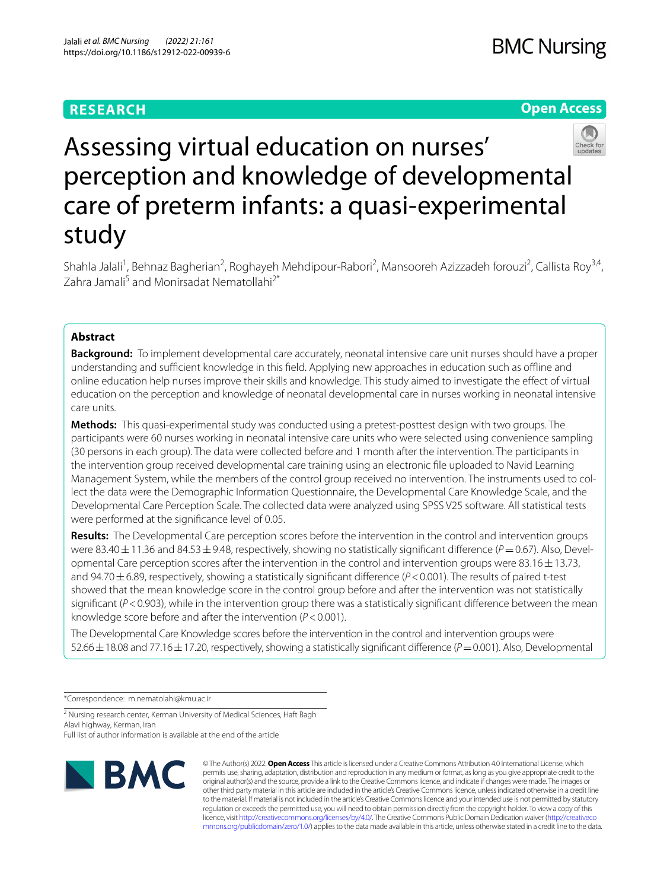# **RESEARCH**

# **Open Access**



Assessing virtual education on nurses' perception and knowledge of developmental care of preterm infants: a quasi-experimental study

Shahla Jalali<sup>1</sup>, Behnaz Bagherian<sup>2</sup>, Roghayeh Mehdipour-Rabori<sup>2</sup>, Mansooreh Azizzadeh forouzi<sup>2</sup>, Callista Roy<sup>3,4</sup>, Zahra Jamali<sup>5</sup> and Monirsadat Nematollahi<sup>2\*</sup>

# **Abstract**

**Background:** To implement developmental care accurately, neonatal intensive care unit nurses should have a proper understanding and sufficient knowledge in this field. Applying new approaches in education such as offline and online education help nurses improve their skills and knowledge. This study aimed to investigate the efect of virtual education on the perception and knowledge of neonatal developmental care in nurses working in neonatal intensive care units.

**Methods:** This quasi-experimental study was conducted using a pretest-posttest design with two groups. The participants were 60 nurses working in neonatal intensive care units who were selected using convenience sampling (30 persons in each group). The data were collected before and 1 month after the intervention. The participants in the intervention group received developmental care training using an electronic fle uploaded to Navid Learning Management System, while the members of the control group received no intervention. The instruments used to collect the data were the Demographic Information Questionnaire, the Developmental Care Knowledge Scale, and the Developmental Care Perception Scale. The collected data were analyzed using SPSS V25 software. All statistical tests were performed at the signifcance level of 0.05.

**Results:** The Developmental Care perception scores before the intervention in the control and intervention groups were 83.40 ± 11.36 and 84.53 ± 9.48, respectively, showing no statistically significant difference (*P* = 0.67). Also, Developmental Care perception scores after the intervention in the control and intervention groups were  $83.16 \pm 13.73$ , and 94.70±6.89, respectively, showing a statistically signifcant diference (*P*<0.001). The results of paired t-test showed that the mean knowledge score in the control group before and after the intervention was not statistically significant ( $P$ <0.903), while in the intervention group there was a statistically significant difference between the mean knowledge score before and after the intervention (*P*<0.001).

The Developmental Care Knowledge scores before the intervention in the control and intervention groups were 52.66±18.08 and 77.16±17.20, respectively, showing a statistically signifcant diference (*P*=0.001). Also, Developmental

\*Correspondence: m.nematolahi@kmu.ac.ir

<sup>2</sup> Nursing research center, Kerman University of Medical Sciences, Haft Bagh Alavi highway, Kerman, Iran

Full list of author information is available at the end of the article



© The Author(s) 2022. **Open Access** This article is licensed under a Creative Commons Attribution 4.0 International License, which permits use, sharing, adaptation, distribution and reproduction in any medium or format, as long as you give appropriate credit to the original author(s) and the source, provide a link to the Creative Commons licence, and indicate if changes were made. The images or other third party material in this article are included in the article's Creative Commons licence, unless indicated otherwise in a credit line to the material. If material is not included in the article's Creative Commons licence and your intended use is not permitted by statutory regulation or exceeds the permitted use, you will need to obtain permission directly from the copyright holder. To view a copy of this licence, visit [http://creativecommons.org/licenses/by/4.0/.](http://creativecommons.org/licenses/by/4.0/) The Creative Commons Public Domain Dedication waiver ([http://creativeco](http://creativecommons.org/publicdomain/zero/1.0/) [mmons.org/publicdomain/zero/1.0/](http://creativecommons.org/publicdomain/zero/1.0/)) applies to the data made available in this article, unless otherwise stated in a credit line to the data.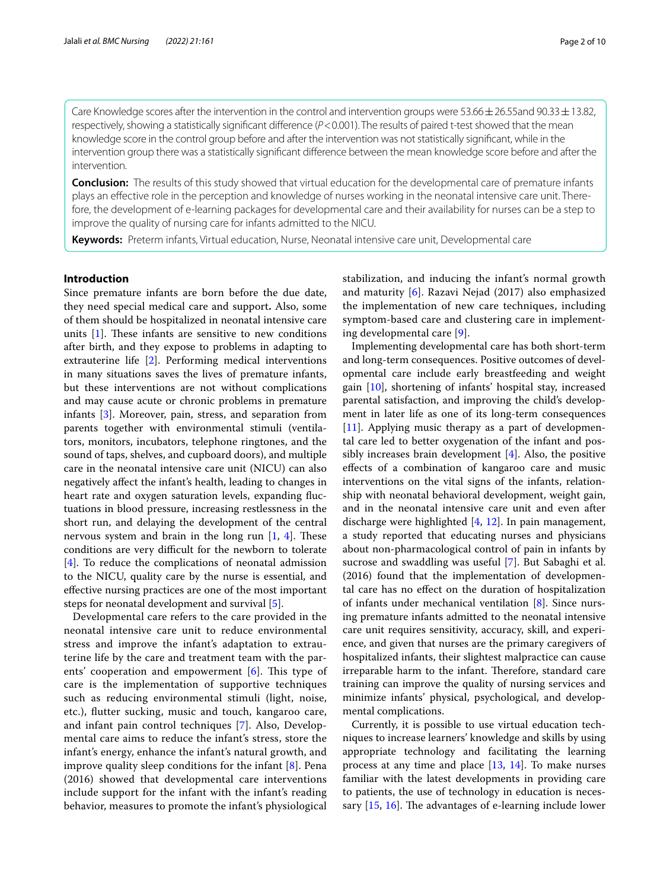Care Knowledge scores after the intervention in the control and intervention groups were 53.66  $\pm$  26.55and 90.33  $\pm$  13.82, respectively, showing a statistically significant difference ( $P$ <0.001). The results of paired t-test showed that the mean knowledge score in the control group before and after the intervention was not statistically signifcant, while in the intervention group there was a statistically signifcant diference between the mean knowledge score before and after the intervention.

**Conclusion:** The results of this study showed that virtual education for the developmental care of premature infants plays an effective role in the perception and knowledge of nurses working in the neonatal intensive care unit. Therefore, the development of e-learning packages for developmental care and their availability for nurses can be a step to improve the quality of nursing care for infants admitted to the NICU.

**Keywords:** Preterm infants, Virtual education, Nurse, Neonatal intensive care unit, Developmental care

# **Introduction**

Since premature infants are born before the due date, they need special medical care and support**.** Also, some of them should be hospitalized in neonatal intensive care units  $[1]$  $[1]$ . These infants are sensitive to new conditions after birth, and they expose to problems in adapting to extrauterine life [\[2](#page-8-1)]. Performing medical interventions in many situations saves the lives of premature infants, but these interventions are not without complications and may cause acute or chronic problems in premature infants [[3\]](#page-8-2). Moreover, pain, stress, and separation from parents together with environmental stimuli (ventilators, monitors, incubators, telephone ringtones, and the sound of taps, shelves, and cupboard doors), and multiple care in the neonatal intensive care unit (NICU) can also negatively afect the infant's health, leading to changes in heart rate and oxygen saturation levels, expanding fuctuations in blood pressure, increasing restlessness in the short run, and delaying the development of the central nervous system and brain in the long run  $[1, 4]$  $[1, 4]$  $[1, 4]$  $[1, 4]$ . These conditions are very difficult for the newborn to tolerate [[4\]](#page-8-3). To reduce the complications of neonatal admission to the NICU, quality care by the nurse is essential, and efective nursing practices are one of the most important steps for neonatal development and survival [[5\]](#page-8-4).

Developmental care refers to the care provided in the neonatal intensive care unit to reduce environmental stress and improve the infant's adaptation to extrauterine life by the care and treatment team with the parents' cooperation and empowerment  $[6]$  $[6]$  $[6]$ . This type of care is the implementation of supportive techniques such as reducing environmental stimuli (light, noise, etc.), futter sucking, music and touch, kangaroo care, and infant pain control techniques [[7\]](#page-8-6). Also, Developmental care aims to reduce the infant's stress, store the infant's energy, enhance the infant's natural growth, and improve quality sleep conditions for the infant [\[8](#page-8-7)]. Pena (2016) showed that developmental care interventions include support for the infant with the infant's reading behavior, measures to promote the infant's physiological stabilization, and inducing the infant's normal growth and maturity [\[6](#page-8-5)]. Razavi Nejad (2017) also emphasized the implementation of new care techniques, including symptom-based care and clustering care in implementing developmental care [\[9](#page-8-8)].

Implementing developmental care has both short-term and long-term consequences. Positive outcomes of developmental care include early breastfeeding and weight gain [[10\]](#page-8-9), shortening of infants' hospital stay, increased parental satisfaction, and improving the child's development in later life as one of its long-term consequences [[11\]](#page-8-10). Applying music therapy as a part of developmental care led to better oxygenation of the infant and possibly increases brain development [\[4](#page-8-3)]. Also, the positive efects of a combination of kangaroo care and music interventions on the vital signs of the infants, relationship with neonatal behavioral development, weight gain, and in the neonatal intensive care unit and even after discharge were highlighted [[4,](#page-8-3) [12\]](#page-8-11). In pain management, a study reported that educating nurses and physicians about non-pharmacological control of pain in infants by sucrose and swaddling was useful [[7\]](#page-8-6). But Sabaghi et al. (2016) found that the implementation of developmental care has no efect on the duration of hospitalization of infants under mechanical ventilation [\[8\]](#page-8-7). Since nursing premature infants admitted to the neonatal intensive care unit requires sensitivity, accuracy, skill, and experience, and given that nurses are the primary caregivers of hospitalized infants, their slightest malpractice can cause irreparable harm to the infant. Therefore, standard care training can improve the quality of nursing services and minimize infants' physical, psychological, and developmental complications.

Currently, it is possible to use virtual education techniques to increase learners' knowledge and skills by using appropriate technology and facilitating the learning process at any time and place [\[13](#page-8-12), [14\]](#page-8-13). To make nurses familiar with the latest developments in providing care to patients, the use of technology in education is necessary  $[15, 16]$  $[15, 16]$  $[15, 16]$  $[15, 16]$ . The advantages of e-learning include lower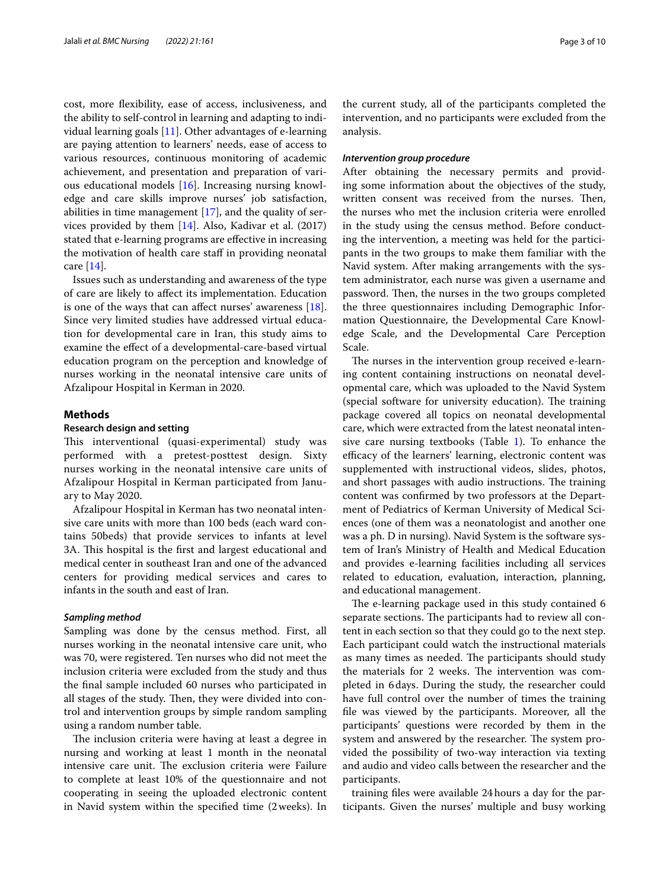cost, more fexibility, ease of access, inclusiveness, and the ability to self-control in learning and adapting to individual learning goals [\[11](#page-8-10)]. Other advantages of e-learning are paying attention to learners' needs, ease of access to various resources, continuous monitoring of academic achievement, and presentation and preparation of various educational models [\[16\]](#page-8-15). Increasing nursing knowledge and care skills improve nurses' job satisfaction, abilities in time management [\[17\]](#page-8-16), and the quality of services provided by them [[14](#page-8-13)]. Also, Kadivar et al. (2017) stated that e-learning programs are efective in increasing the motivation of health care staf in providing neonatal care [\[14](#page-8-13)].

Issues such as understanding and awareness of the type of care are likely to afect its implementation. Education is one of the ways that can afect nurses' awareness [\[18](#page-8-17)]. Since very limited studies have addressed virtual education for developmental care in Iran, this study aims to examine the efect of a developmental-care-based virtual education program on the perception and knowledge of nurses working in the neonatal intensive care units of Afzalipour Hospital in Kerman in 2020.

## **Methods**

# **Research design and setting**

This interventional (quasi-experimental) study was performed with a pretest-posttest design. Sixty nurses working in the neonatal intensive care units of Afzalipour Hospital in Kerman participated from January to May 2020.

Afzalipour Hospital in Kerman has two neonatal intensive care units with more than 100 beds (each ward contains 50beds) that provide services to infants at level 3A. This hospital is the first and largest educational and medical center in southeast Iran and one of the advanced centers for providing medical services and cares to infants in the south and east of Iran.

## *Sampling method*

Sampling was done by the census method. First, all nurses working in the neonatal intensive care unit, who was 70, were registered. Ten nurses who did not meet the inclusion criteria were excluded from the study and thus the fnal sample included 60 nurses who participated in all stages of the study. Then, they were divided into control and intervention groups by simple random sampling using a random number table.

The inclusion criteria were having at least a degree in nursing and working at least 1 month in the neonatal intensive care unit. The exclusion criteria were Failure to complete at least 10% of the questionnaire and not cooperating in seeing the uploaded electronic content in Navid system within the specifed time (2weeks). In

the current study, all of the participants completed the intervention, and no participants were excluded from the analysis.

# *Intervention group procedure*

After obtaining the necessary permits and providing some information about the objectives of the study, written consent was received from the nurses. Then, the nurses who met the inclusion criteria were enrolled in the study using the census method. Before conducting the intervention, a meeting was held for the participants in the two groups to make them familiar with the Navid system. After making arrangements with the system administrator, each nurse was given a username and password. Then, the nurses in the two groups completed the three questionnaires including Demographic Information Questionnaire, the Developmental Care Knowledge Scale, and the Developmental Care Perception Scale.

The nurses in the intervention group received e-learning content containing instructions on neonatal developmental care, which was uploaded to the Navid System (special software for university education). The training package covered all topics on neonatal developmental care, which were extracted from the latest neonatal intensive care nursing textbooks (Table [1\)](#page-3-0). To enhance the efficacy of the learners' learning, electronic content was supplemented with instructional videos, slides, photos, and short passages with audio instructions. The training content was confrmed by two professors at the Department of Pediatrics of Kerman University of Medical Sciences (one of them was a neonatologist and another one was a ph. D in nursing). Navid System is the software system of Iran's Ministry of Health and Medical Education and provides e-learning facilities including all services related to education, evaluation, interaction, planning, and educational management.

The e-learning package used in this study contained 6 separate sections. The participants had to review all content in each section so that they could go to the next step. Each participant could watch the instructional materials as many times as needed. The participants should study the materials for 2 weeks. The intervention was completed in 6days. During the study, the researcher could have full control over the number of times the training fle was viewed by the participants. Moreover, all the participants' questions were recorded by them in the system and answered by the researcher. The system provided the possibility of two-way interaction via texting and audio and video calls between the researcher and the participants.

training fles were available 24hours a day for the participants. Given the nurses' multiple and busy working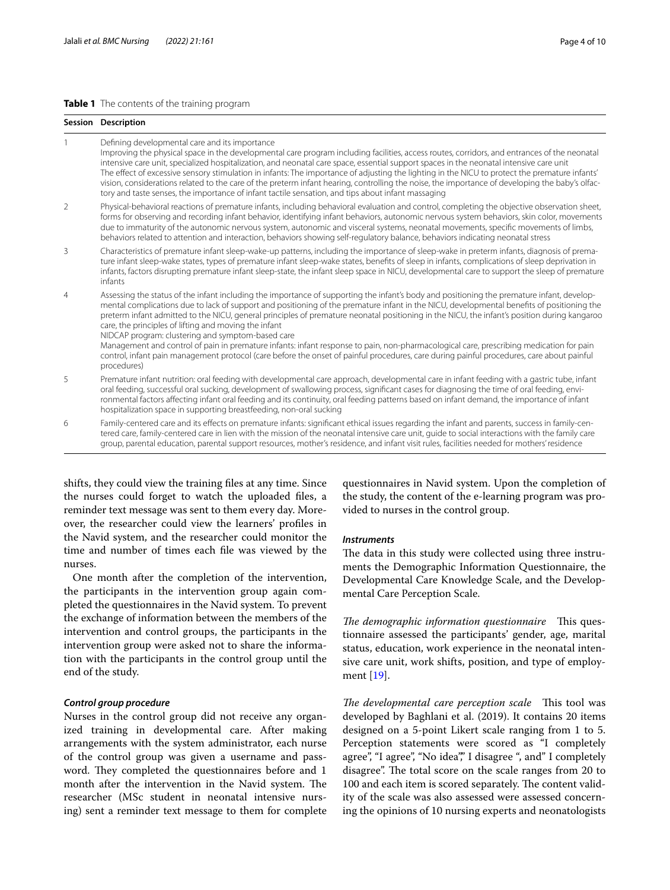# <span id="page-3-0"></span>**Table 1** The contents of the training program

|                | Session Description                                                                                                                                                                                                                                                                                                                                                                                                                                                                                                                                                                                                                                                                                                                                                                                                                                           |  |  |  |  |
|----------------|---------------------------------------------------------------------------------------------------------------------------------------------------------------------------------------------------------------------------------------------------------------------------------------------------------------------------------------------------------------------------------------------------------------------------------------------------------------------------------------------------------------------------------------------------------------------------------------------------------------------------------------------------------------------------------------------------------------------------------------------------------------------------------------------------------------------------------------------------------------|--|--|--|--|
|                | Defining developmental care and its importance<br>Improving the physical space in the developmental care program including facilities, access routes, corridors, and entrances of the neonatal<br>intensive care unit, specialized hospitalization, and neonatal care space, essential support spaces in the neonatal intensive care unit<br>The effect of excessive sensory stimulation in infants: The importance of adjusting the lighting in the NICU to protect the premature infants'<br>vision, considerations related to the care of the preterm infant hearing, controlling the noise, the importance of developing the baby's olfac-<br>tory and taste senses, the importance of infant tactile sensation, and tips about infant massaging                                                                                                          |  |  |  |  |
| 2              | Physical-behavioral reactions of premature infants, including behavioral evaluation and control, completing the objective observation sheet,<br>forms for observing and recording infant behavior, identifying infant behaviors, autonomic nervous system behaviors, skin color, movements<br>due to immaturity of the autonomic nervous system, autonomic and visceral systems, neonatal movements, specific movements of limbs,<br>behaviors related to attention and interaction, behaviors showing self-regulatory balance, behaviors indicating neonatal stress                                                                                                                                                                                                                                                                                          |  |  |  |  |
| 3              | Characteristics of premature infant sleep-wake-up patterns, including the importance of sleep-wake in preterm infants, diagnosis of prema-<br>ture infant sleep-wake states, types of premature infant sleep-wake states, benefits of sleep in infants, complications of sleep deprivation in<br>infants, factors disrupting premature infant sleep-state, the infant sleep space in NICU, developmental care to support the sleep of premature<br>infants                                                                                                                                                                                                                                                                                                                                                                                                    |  |  |  |  |
| $\overline{4}$ | Assessing the status of the infant including the importance of supporting the infant's body and positioning the premature infant, develop-<br>mental complications due to lack of support and positioning of the premature infant in the NICU, developmental benefits of positioning the<br>preterm infant admitted to the NICU, general principles of premature neonatal positioning in the NICU, the infant's position during kangaroo<br>care, the principles of lifting and moving the infant<br>NIDCAP program: clustering and symptom-based care<br>Management and control of pain in premature infants: infant response to pain, non-pharmacological care, prescribing medication for pain<br>control, infant pain management protocol (care before the onset of painful procedures, care during painful procedures, care about painful<br>procedures) |  |  |  |  |
| 5              | Premature infant nutrition: oral feeding with developmental care approach, developmental care in infant feeding with a gastric tube, infant<br>oral feeding, successful oral sucking, development of swallowing process, significant cases for diagnosing the time of oral feeding, envi-<br>ronmental factors affecting infant oral feeding and its continuity, oral feeding patterns based on infant demand, the importance of infant<br>hospitalization space in supporting breastfeeding, non-oral sucking                                                                                                                                                                                                                                                                                                                                                |  |  |  |  |
| 6              | Family-centered care and its effects on premature infants: significant ethical issues regarding the infant and parents, success in family-cen-<br>tered care, family-centered care in lien with the mission of the neonatal intensive care unit, quide to social interactions with the family care<br>group, parental education, parental support resources, mother's residence, and infant visit rules, facilities needed for mothers' residence                                                                                                                                                                                                                                                                                                                                                                                                             |  |  |  |  |

shifts, they could view the training fles at any time. Since the nurses could forget to watch the uploaded fles, a reminder text message was sent to them every day. Moreover, the researcher could view the learners' profles in the Navid system, and the researcher could monitor the time and number of times each fle was viewed by the nurses.

One month after the completion of the intervention, the participants in the intervention group again completed the questionnaires in the Navid system. To prevent the exchange of information between the members of the intervention and control groups, the participants in the intervention group were asked not to share the information with the participants in the control group until the end of the study.

# *Control group procedure*

Nurses in the control group did not receive any organized training in developmental care. After making arrangements with the system administrator, each nurse of the control group was given a username and password. They completed the questionnaires before and 1 month after the intervention in the Navid system. The researcher (MSc student in neonatal intensive nursing) sent a reminder text message to them for complete questionnaires in Navid system. Upon the completion of the study, the content of the e-learning program was provided to nurses in the control group.

## *Instruments*

The data in this study were collected using three instruments the Demographic Information Questionnaire, the Developmental Care Knowledge Scale, and the Developmental Care Perception Scale.

*The demographic information questionnaire* This questionnaire assessed the participants' gender, age, marital status, education, work experience in the neonatal intensive care unit, work shifts, position, and type of employment [[19](#page-8-18)].

*The developmental care perception scale* This tool was developed by Baghlani et al. (2019). It contains 20 items designed on a 5-point Likert scale ranging from 1 to 5. Perception statements were scored as "I completely agree", "I agree", "No idea"," I disagree ", and" I completely disagree". The total score on the scale ranges from 20 to 100 and each item is scored separately. The content validity of the scale was also assessed were assessed concerning the opinions of 10 nursing experts and neonatologists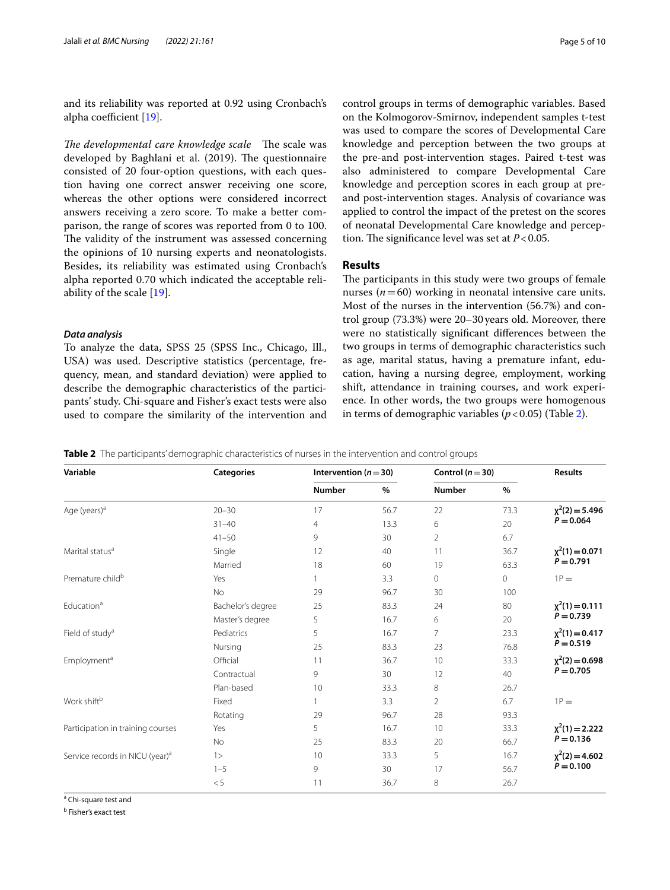and its reliability was reported at 0.92 using Cronbach's alpha coefficient  $[19]$ .

*The developmental care knowledge scale* The scale was developed by Baghlani et al. (2019). The questionnaire consisted of 20 four-option questions, with each question having one correct answer receiving one score, whereas the other options were considered incorrect answers receiving a zero score. To make a better comparison, the range of scores was reported from 0 to 100. The validity of the instrument was assessed concerning the opinions of 10 nursing experts and neonatologists. Besides, its reliability was estimated using Cronbach's alpha reported 0.70 which indicated the acceptable reliability of the scale [\[19](#page-8-18)].

### *Data analysis*

To analyze the data, SPSS 25 (SPSS Inc., Chicago, Ill., USA) was used. Descriptive statistics (percentage, frequency, mean, and standard deviation) were applied to describe the demographic characteristics of the participants' study. Chi-square and Fisher's exact tests were also used to compare the similarity of the intervention and control groups in terms of demographic variables. Based on the Kolmogorov-Smirnov, independent samples t-test was used to compare the scores of Developmental Care knowledge and perception between the two groups at the pre-and post-intervention stages. Paired t-test was also administered to compare Developmental Care knowledge and perception scores in each group at preand post-intervention stages. Analysis of covariance was applied to control the impact of the pretest on the scores of neonatal Developmental Care knowledge and perception. The significance level was set at  $P < 0.05$ .

# **Results**

The participants in this study were two groups of female nurses  $(n=60)$  working in neonatal intensive care units. Most of the nurses in the intervention (56.7%) and control group (73.3%) were 20–30years old. Moreover, there were no statistically signifcant diferences between the two groups in terms of demographic characteristics such as age, marital status, having a premature infant, education, having a nursing degree, employment, working shift, attendance in training courses, and work experience. In other words, the two groups were homogenous in terms of demographic variables  $(p < 0.05)$  (Table [2](#page-4-0)).

<span id="page-4-0"></span>**Table 2** The participants' demographic characteristics of nurses in the intervention and control groups

| Variable                                    | <b>Categories</b> | Intervention ( $n = 30$ ) |      | Control ( $n = 30$ ) |         | <b>Results</b>                     |
|---------------------------------------------|-------------------|---------------------------|------|----------------------|---------|------------------------------------|
|                                             |                   | <b>Number</b>             | $\%$ | <b>Number</b>        | $\%$    |                                    |
| Age (years) <sup>a</sup>                    | $20 - 30$         | 17                        | 56.7 | 22                   | 73.3    | $\chi^2(2) = 5.496$<br>$P = 0.064$ |
|                                             | $31 - 40$         | $\overline{4}$            | 13.3 | 6                    | 20      |                                    |
|                                             | $41 - 50$         | 9                         | 30   | $\overline{2}$       | 6.7     |                                    |
| Marital status <sup>a</sup>                 | Single            | 12                        | 40   | 11                   | 36.7    | $\chi^2(1) = 0.071$                |
|                                             | Married           | 18                        | 60   | 19                   | 63.3    | $P = 0.791$                        |
| Premature child <sup>b</sup>                | Yes               |                           | 3.3  | $\circ$              | $\circ$ | $1P =$                             |
|                                             | <b>No</b>         | 29                        | 96.7 | 30                   | 100     |                                    |
| Education <sup>a</sup>                      | Bachelor's degree | 25                        | 83.3 | 24                   | 80      | $\chi^2(1) = 0.111$                |
|                                             | Master's degree   | 5                         | 16.7 | 6                    | 20      | $P = 0.739$                        |
| Field of study <sup>a</sup>                 | Pediatrics        | 5                         | 16.7 | $\overline{7}$       | 23.3    | $\chi^2(1) = 0.417$<br>$P = 0.519$ |
|                                             | Nursing           | 25                        | 83.3 | 23                   | 76.8    |                                    |
| Employment <sup>a</sup>                     | Official          | 11                        | 36.7 | 10                   | 33.3    | $\chi^2(2) = 0.698$<br>$P = 0.705$ |
|                                             | Contractual       | 9                         | 30   | 12                   | 40      |                                    |
|                                             | Plan-based        | 10                        | 33.3 | 8                    | 26.7    |                                    |
| Work shiftb                                 | Fixed             |                           | 3.3  | 2                    | 6.7     | $1P =$                             |
|                                             | Rotating          | 29                        | 96.7 | 28                   | 93.3    |                                    |
| Participation in training courses           | Yes               | 5                         | 16.7 | 10                   | 33.3    | $\chi^2(1) = 2.222$                |
|                                             | <b>No</b>         | 25                        | 83.3 | 20                   | 66.7    | $P = 0.136$                        |
| Service records in NICU (year) <sup>a</sup> | 1>                | 10                        | 33.3 | 5                    | 16.7    | $\chi^2(2) = 4.602$                |
|                                             | $1 - 5$           | 9                         | 30   | 17                   | 56.7    | $P = 0.100$                        |
|                                             | $< 5\,$           | 11                        | 36.7 | 8                    | 26.7    |                                    |

<sup>a</sup> Chi-square test and

<sup>b</sup> Fisher's exact test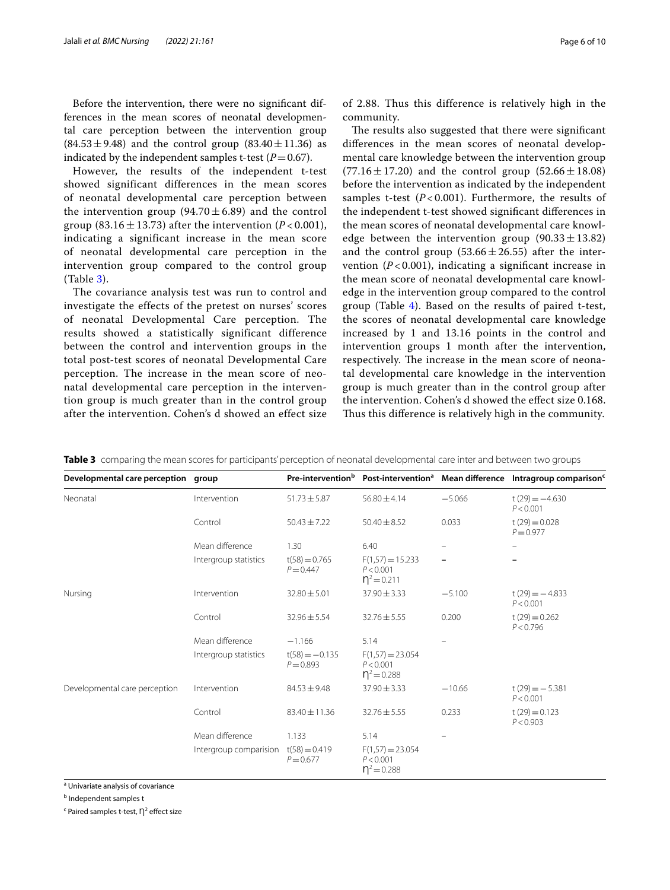Before the intervention, there were no signifcant differences in the mean scores of neonatal developmental care perception between the intervention group  $(84.53 \pm 9.48)$  and the control group  $(83.40 \pm 11.36)$  as indicated by the independent samples t-test  $(P=0.67)$ .

However, the results of the independent t-test showed significant differences in the mean scores of neonatal developmental care perception between the intervention group (94.70  $\pm$  6.89) and the control group (83.16  $\pm$  13.73) after the intervention (*P* < 0.001), indicating a significant increase in the mean score of neonatal developmental care perception in the intervention group compared to the control group (Table [3](#page-5-0)).

The covariance analysis test was run to control and investigate the effects of the pretest on nurses' scores of neonatal Developmental Care perception. The results showed a statistically significant difference between the control and intervention groups in the total post-test scores of neonatal Developmental Care perception. The increase in the mean score of neonatal developmental care perception in the intervention group is much greater than in the control group after the intervention. Cohen's d showed an effect size of 2.88. Thus this difference is relatively high in the community.

The results also suggested that there were significant diferences in the mean scores of neonatal developmental care knowledge between the intervention group  $(77.16 \pm 17.20)$  and the control group  $(52.66 \pm 18.08)$ before the intervention as indicated by the independent samples t-test  $(P<0.001)$ . Furthermore, the results of the independent t-test showed signifcant diferences in the mean scores of neonatal developmental care knowledge between the intervention group  $(90.33 \pm 13.82)$ and the control group  $(53.66 \pm 26.55)$  after the intervention  $(P<0.001)$ , indicating a significant increase in the mean score of neonatal developmental care knowledge in the intervention group compared to the control group (Table [4\)](#page-6-0). Based on the results of paired t-test, the scores of neonatal developmental care knowledge increased by 1 and 13.16 points in the control and intervention groups 1 month after the intervention, respectively. The increase in the mean score of neonatal developmental care knowledge in the intervention group is much greater than in the control group after the intervention. Cohen's d showed the efect size 0.168. Thus this difference is relatively high in the community.

| Developmental care perception group |                        | Pre-intervention <sup>b</sup>   | Post-intervention <sup>a</sup> Mean difference            |                   | Intragroup comparison <sup>c</sup> |
|-------------------------------------|------------------------|---------------------------------|-----------------------------------------------------------|-------------------|------------------------------------|
| Neonatal                            | Intervention           | $51.73 \pm 5.87$                | $56.80 \pm 4.14$                                          | $-5.066$          | $t(29) = -4.630$<br>P < 0.001      |
|                                     | Control                | $50.43 \pm 7.22$                | $50.40 \pm 8.52$                                          | 0.033             | $t(29) = 0.028$<br>$P = 0.977$     |
|                                     | Mean difference        | 1.30                            | 6.40                                                      |                   |                                    |
|                                     | Intergroup statistics  | $t(58) = 0.765$<br>$P = 0.447$  | $F(1,57) = 15.233$<br>P < 0.001<br>$\eta^2$ = 0.211       | $\qquad \qquad -$ |                                    |
| Nursing                             | Intervention           | $32.80 \pm 5.01$                | $37.90 \pm 3.33$                                          | $-5.100$          | $t(29) = -4.833$<br>P < 0.001      |
|                                     | Control                | $32.96 \pm 5.54$                | $32.76 \pm 5.55$                                          | 0.200             | $t(29) = 0.262$<br>P < 0.796       |
|                                     | Mean difference        | $-1.166$                        | 5.14                                                      |                   |                                    |
|                                     | Intergroup statistics  | $t(58) = -0.135$<br>$P = 0.893$ | $F(1,57) = 23.054$<br>P < 0.001<br>$\mathsf{D}^2 = 0.288$ |                   |                                    |
| Developmental care perception       | Intervention           | $84.53 \pm 9.48$                | $37.90 \pm 3.33$                                          | $-10.66$          | $t(29) = -5.381$<br>P < 0.001      |
|                                     | Control                | 83.40 ± 11.36                   | $32.76 \pm 5.55$                                          | 0.233             | $t(29) = 0.123$<br>P < 0.903       |
|                                     | Mean difference        | 1.133                           | 5.14                                                      |                   |                                    |
|                                     | Intergroup comparision | $t(58) = 0.419$<br>$P = 0.677$  | $F(1,57) = 23.054$<br>P < 0.001<br>$n^2$ = 0.288          |                   |                                    |

<span id="page-5-0"></span>**Table 3** comparing the mean scores for participants' perception of neonatal developmental care inter and between two groups

<sup>a</sup> Univariate analysis of covariance

<sup>b</sup> Independent samples t

 $\epsilon$  Paired samples t-test,  $\bigcap^2$  effect size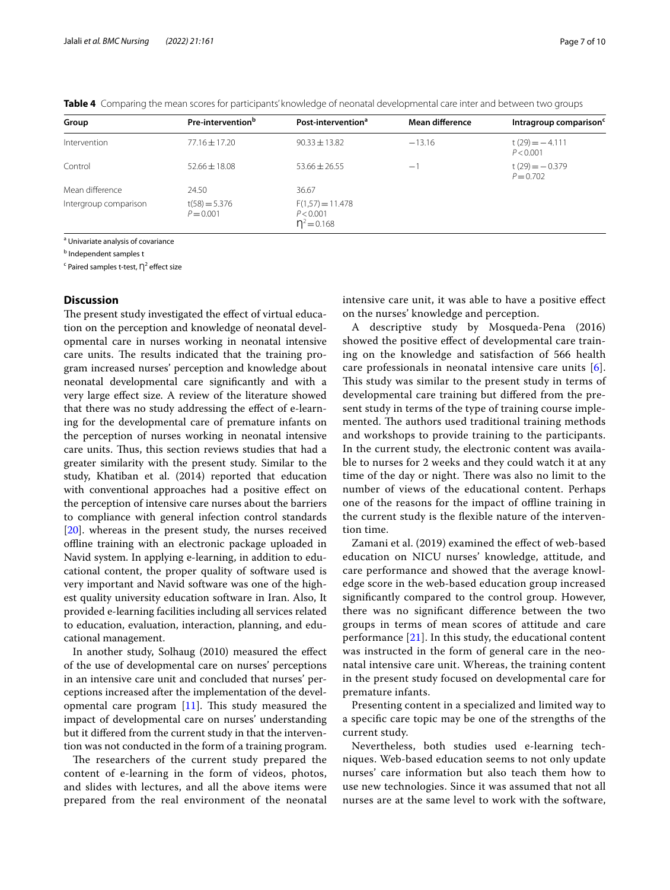| Group                 | Pre-intervention <sup>b</sup>  | Post-intervention <sup>a</sup>                   | Mean difference | Intragroup comparison <sup>c</sup> |
|-----------------------|--------------------------------|--------------------------------------------------|-----------------|------------------------------------|
| Intervention          | $77.16 \pm 17.20$              | $90.33 \pm 13.82$                                | $-13.16$        | $t(29) = -4.111$<br>P < 0.001      |
| Control               | $52.66 \pm 18.08$              | $53.66 \pm 26.55$                                | $-1$            | $t(29) = -0.379$<br>$P = 0.702$    |
| Mean difference       | 24.50                          | 36.67                                            |                 |                                    |
| Intergroup comparison | $t(58) = 5.376$<br>$P = 0.001$ | $F(1,57) = 11.478$<br>P < 0.001<br>$n^2 = 0.168$ |                 |                                    |

<span id="page-6-0"></span>**Table 4** Comparing the mean scores for participants' knowledge of neonatal developmental care inter and between two groups

<sup>a</sup> Univariate analysis of covariance

<sup>b</sup> Independent samples t

 $\mathsf{c}\,$  Paired samples t-test,  $\mathsf{\eta}^2$  effect size

# **Discussion**

The present study investigated the effect of virtual education on the perception and knowledge of neonatal developmental care in nurses working in neonatal intensive care units. The results indicated that the training program increased nurses' perception and knowledge about neonatal developmental care signifcantly and with a very large efect size. A review of the literature showed that there was no study addressing the efect of e-learning for the developmental care of premature infants on the perception of nurses working in neonatal intensive care units. Thus, this section reviews studies that had a greater similarity with the present study. Similar to the study, Khatiban et al. (2014) reported that education with conventional approaches had a positive efect on the perception of intensive care nurses about the barriers to compliance with general infection control standards [[20\]](#page-8-19). whereas in the present study, the nurses received ofine training with an electronic package uploaded in Navid system. In applying e-learning, in addition to educational content, the proper quality of software used is very important and Navid software was one of the highest quality university education software in Iran. Also, It provided e-learning facilities including all services related to education, evaluation, interaction, planning, and educational management.

In another study, Solhaug (2010) measured the efect of the use of developmental care on nurses' perceptions in an intensive care unit and concluded that nurses' perceptions increased after the implementation of the developmental care program  $[11]$  $[11]$ . This study measured the impact of developmental care on nurses' understanding but it difered from the current study in that the intervention was not conducted in the form of a training program.

The researchers of the current study prepared the content of e-learning in the form of videos, photos, and slides with lectures, and all the above items were prepared from the real environment of the neonatal intensive care unit, it was able to have a positive efect on the nurses' knowledge and perception.

A descriptive study by Mosqueda-Pena (2016) showed the positive efect of developmental care training on the knowledge and satisfaction of 566 health care professionals in neonatal intensive care units [[6](#page-8-5)]. This study was similar to the present study in terms of developmental care training but difered from the present study in terms of the type of training course implemented. The authors used traditional training methods and workshops to provide training to the participants. In the current study, the electronic content was available to nurses for 2 weeks and they could watch it at any time of the day or night. There was also no limit to the number of views of the educational content. Perhaps one of the reasons for the impact of ofine training in the current study is the fexible nature of the intervention time.

Zamani et al. (2019) examined the effect of web-based education on NICU nurses' knowledge, attitude, and care performance and showed that the average knowledge score in the web-based education group increased signifcantly compared to the control group. However, there was no signifcant diference between the two groups in terms of mean scores of attitude and care performance [\[21\]](#page-8-20). In this study, the educational content was instructed in the form of general care in the neonatal intensive care unit. Whereas, the training content in the present study focused on developmental care for premature infants.

Presenting content in a specialized and limited way to a specifc care topic may be one of the strengths of the current study.

Nevertheless, both studies used e-learning techniques. Web-based education seems to not only update nurses' care information but also teach them how to use new technologies. Since it was assumed that not all nurses are at the same level to work with the software,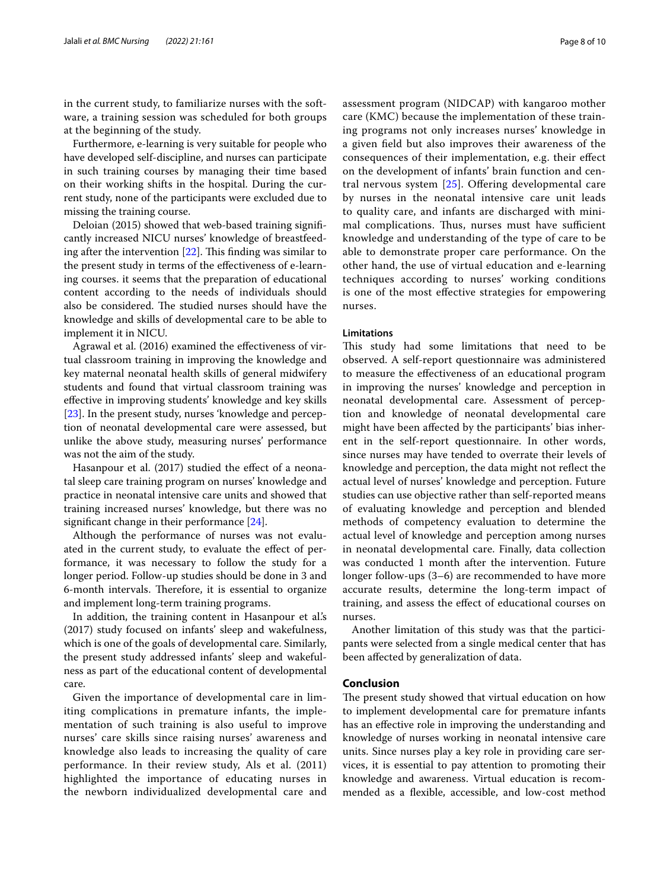in the current study, to familiarize nurses with the software, a training session was scheduled for both groups at the beginning of the study.

Furthermore, e-learning is very suitable for people who have developed self-discipline, and nurses can participate in such training courses by managing their time based on their working shifts in the hospital. During the current study, none of the participants were excluded due to missing the training course.

Deloian (2015) showed that web-based training signifcantly increased NICU nurses' knowledge of breastfeeding after the intervention  $[22]$  $[22]$ . This finding was similar to the present study in terms of the efectiveness of e-learning courses. it seems that the preparation of educational content according to the needs of individuals should also be considered. The studied nurses should have the knowledge and skills of developmental care to be able to implement it in NICU.

Agrawal et al. (2016) examined the efectiveness of virtual classroom training in improving the knowledge and key maternal neonatal health skills of general midwifery students and found that virtual classroom training was efective in improving students' knowledge and key skills [[23\]](#page-9-0). In the present study, nurses 'knowledge and perception of neonatal developmental care were assessed, but unlike the above study, measuring nurses' performance was not the aim of the study.

Hasanpour et al. (2017) studied the effect of a neonatal sleep care training program on nurses' knowledge and practice in neonatal intensive care units and showed that training increased nurses' knowledge, but there was no significant change in their performance [[24](#page-9-1)].

Although the performance of nurses was not evaluated in the current study, to evaluate the efect of performance, it was necessary to follow the study for a longer period. Follow-up studies should be done in 3 and 6-month intervals. Therefore, it is essential to organize and implement long-term training programs.

In addition, the training content in Hasanpour et al.'s (2017) study focused on infants' sleep and wakefulness, which is one of the goals of developmental care. Similarly, the present study addressed infants' sleep and wakefulness as part of the educational content of developmental care.

Given the importance of developmental care in limiting complications in premature infants, the implementation of such training is also useful to improve nurses' care skills since raising nurses' awareness and knowledge also leads to increasing the quality of care performance. In their review study, Als et al. (2011) highlighted the importance of educating nurses in the newborn individualized developmental care and assessment program (NIDCAP) with kangaroo mother care (KMC) because the implementation of these training programs not only increases nurses' knowledge in a given feld but also improves their awareness of the consequences of their implementation, e.g. their efect on the development of infants' brain function and central nervous system  $[25]$  $[25]$ . Offering developmental care by nurses in the neonatal intensive care unit leads to quality care, and infants are discharged with minimal complications. Thus, nurses must have sufficient knowledge and understanding of the type of care to be able to demonstrate proper care performance. On the other hand, the use of virtual education and e-learning techniques according to nurses' working conditions is one of the most efective strategies for empowering nurses.

# **Limitations**

This study had some limitations that need to be observed. A self-report questionnaire was administered to measure the efectiveness of an educational program in improving the nurses' knowledge and perception in neonatal developmental care. Assessment of perception and knowledge of neonatal developmental care might have been afected by the participants' bias inherent in the self-report questionnaire. In other words, since nurses may have tended to overrate their levels of knowledge and perception, the data might not refect the actual level of nurses' knowledge and perception. Future studies can use objective rather than self-reported means of evaluating knowledge and perception and blended methods of competency evaluation to determine the actual level of knowledge and perception among nurses in neonatal developmental care. Finally, data collection was conducted 1 month after the intervention. Future longer follow-ups (3–6) are recommended to have more accurate results, determine the long-term impact of training, and assess the efect of educational courses on nurses.

Another limitation of this study was that the participants were selected from a single medical center that has been afected by generalization of data.

# **Conclusion**

The present study showed that virtual education on how to implement developmental care for premature infants has an efective role in improving the understanding and knowledge of nurses working in neonatal intensive care units. Since nurses play a key role in providing care services, it is essential to pay attention to promoting their knowledge and awareness. Virtual education is recommended as a fexible, accessible, and low-cost method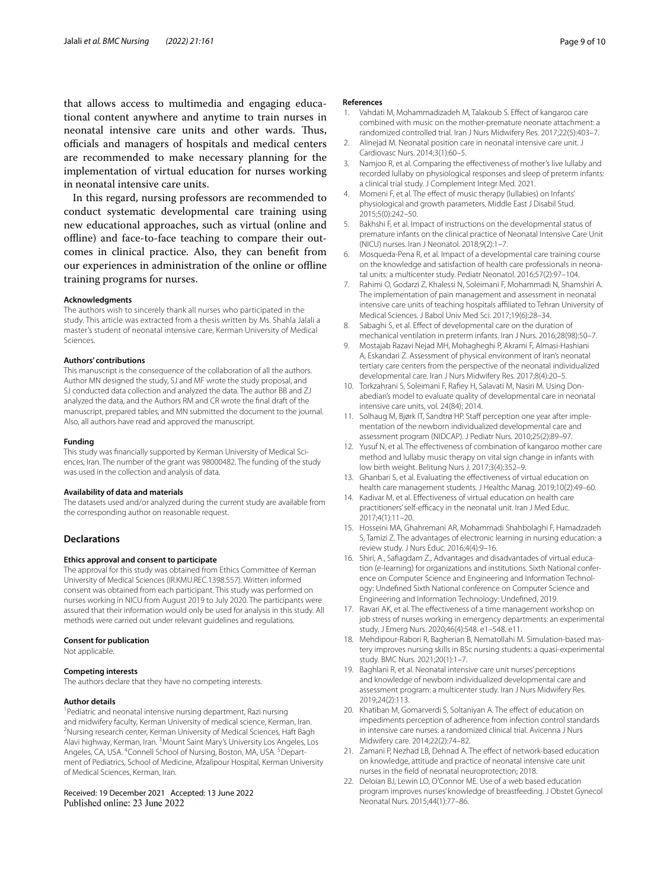that allows access to multimedia and engaging educational content anywhere and anytime to train nurses in neonatal intensive care units and other wards. Thus, officials and managers of hospitals and medical centers are recommended to make necessary planning for the implementation of virtual education for nurses working in neonatal intensive care units.

In this regard, nursing professors are recommended to conduct systematic developmental care training using new educational approaches, such as virtual (online and offline) and face-to-face teaching to compare their outcomes in clinical practice. Also, they can beneft from our experiences in administration of the online or offline training programs for nurses.

# **Acknowledgments**

The authors wish to sincerely thank all nurses who participated in the study. This article was extracted from a thesis written by Ms. Shahla Jalali a master's student of neonatal intensive care, Kerman University of Medical Sciences.

#### **Authors' contributions**

This manuscript is the consequence of the collaboration of all the authors. Author MN designed the study, SJ and MF wrote the study proposal, and SJ conducted data collection and analyzed the data. The author BB and ZJ analyzed the data, and the Authors RM and CR wrote the fnal draft of the manuscript, prepared tables, and MN submitted the document to the journal. Also, all authors have read and approved the manuscript.

#### **Funding**

This study was financially supported by Kerman University of Medical Sciences, Iran. The number of the grant was 98000482. The funding of the study was used in the collection and analysis of data.

#### **Availability of data and materials**

The datasets used and/or analyzed during the current study are available from the corresponding author on reasonable request.

## **Declarations**

#### **Ethics approval and consent to participate**

The approval for this study was obtained from Ethics Committee of Kerman University of Medical Sciences (IR.KMU.REC.1398.557). Written informed consent was obtained from each participant. This study was performed on nurses working in NICU from August 2019 to July 2020. The participants were assured that their information would only be used for analysis in this study. All methods were carried out under relevant guidelines and regulations.

#### **Consent for publication**

Not applicable.

#### **Competing interests**

The authors declare that they have no competing interests.

#### **Author details**

<sup>1</sup> Pediatric and neonatal intensive nursing department, Razi nursing and midwifery faculty, Kerman University of medical science, Kerman, Iran. <sup>2</sup>Nursing research center, Kerman University of Medical Sciences, Haft Bagh Alavi highway, Kerman, Iran. <sup>3</sup> Mount Saint Mary's University Los Angeles, Los Angeles, CA, USA. <sup>4</sup> Connell School of Nursing, Boston, MA, USA. <sup>5</sup> Department of Pediatrics, School of Medicine, Afzalipour Hospital, Kerman University of Medical Sciences, Kerman, Iran.

# Received: 19 December 2021 Accepted: 13 June 2022

#### **References**

- <span id="page-8-0"></span>1. Vahdati M, Mohammadizadeh M, Talakoub S. Efect of kangaroo care combined with music on the mother-premature neonate attachment: a randomized controlled trial. Iran J Nurs Midwifery Res. 2017;22(5):403–7.
- <span id="page-8-1"></span>2. Alinejad M. Neonatal position care in neonatal intensive care unit. J Cardiovasc Nurs. 2014;3(1):60–5.
- <span id="page-8-2"></span>Namjoo R, et al. Comparing the effectiveness of mother's live lullaby and recorded lullaby on physiological responses and sleep of preterm infants: a clinical trial study. J Complement Integr Med. 2021.
- <span id="page-8-3"></span>4. Momeni F, et al. The effect of music therapy (lullabies) on Infants' physiological and growth parameters. Middle East J Disabil Stud. 2015;5(0):242–50.
- <span id="page-8-4"></span>5. Bakhshi F, et al. Impact of instructions on the developmental status of premature infants on the clinical practice of Neonatal Intensive Care Unit (NICU) nurses. Iran J Neonatol. 2018;9(2):1–7.
- <span id="page-8-5"></span>6. Mosqueda-Pena R, et al. Impact of a developmental care training course on the knowledge and satisfaction of health care professionals in neonatal units: a multicenter study. Pediatr Neonatol. 2016;57(2):97–104.
- <span id="page-8-6"></span>7. Rahimi O, Godarzi Z, Khalessi N, Soleimani F, Mohammadi N, Shamshiri A. The implementation of pain management and assessment in neonatal intensive care units of teaching hospitals afliated to Tehran University of Medical Sciences. J Babol Univ Med Sci. 2017;19(6):28–34.
- <span id="page-8-7"></span>8. Sabaghi S, et al. Effect of developmental care on the duration of mechanical ventilation in preterm infants. Iran J Nurs. 2016;28(98):50–7.
- <span id="page-8-8"></span>9. Mostajab Razavi Nejad MH, Mohagheghi P, Akrami F, Almasi-Hashiani A, Eskandari Z. Assessment of physical environment of Iran's neonatal tertiary care centers from the perspective of the neonatal individualized developmental care. Iran J Nurs Midwifery Res. 2017;8(4):20–5.
- <span id="page-8-9"></span>10. Torkzahrani S, Soleimani F, Rafiey H, Salavati M, Nasiri M. Using Donabedian's model to evaluate quality of developmental care in neonatal intensive care units, vol. 24(84); 2014.
- <span id="page-8-10"></span>11. Solhaug M, Bjørk IT, Sandtrø HP. Staff perception one year after implementation of the newborn individualized developmental care and assessment program (NIDCAP). J Pediatr Nurs. 2010;25(2):89–97.
- <span id="page-8-11"></span>12. Yusuf N, et al. The effectiveness of combination of kangaroo mother care method and lullaby music therapy on vital sign change in infants with low birth weight. Belitung Nurs J. 2017;3(4):352–9.
- <span id="page-8-12"></span>13. Ghanbari S, et al. Evaluating the efectiveness of virtual education on health care management students. J Healthc Manag. 2019;10(2):49–60.
- <span id="page-8-13"></span>14. Kadivar M, et al. Efectiveness of virtual education on health care practitioners' self-efficacy in the neonatal unit. Iran J Med Educ. 2017;4(1):11–20.
- <span id="page-8-14"></span>15. Hosseini MA, Ghahremani AR, Mohammadi Shahbolaghi F, Hamadzadeh S, Tamizi Z. The advantages of electronic learning in nursing education: a review study. J Nurs Educ. 2016;4(4):9–16.
- <span id="page-8-15"></span>16. Shiri, A., Safiagdam Z., Advantages and disadvantades of virtual education (e-learning) for organizations and institutions. Sixth National conference on Computer Science and Engineering and Information Technology: Undefned Sixth National conference on Computer Science and Engineering and Information Technology: Undefned, 2019.
- <span id="page-8-16"></span>17. Ravari AK, et al. The efectiveness of a time management workshop on job stress of nurses working in emergency departments: an experimental study. J Emerg Nurs. 2020;46(4):548. e1–548. e11.
- <span id="page-8-17"></span>18. Mehdipour-Rabori R, Bagherian B, Nematollahi M. Simulation-based mastery improves nursing skills in BSc nursing students: a quasi-experimental study. BMC Nurs. 2021;20(1):1–7.
- <span id="page-8-18"></span>19. Baghlani R, et al. Neonatal intensive care unit nurses' perceptions and knowledge of newborn individualized developmental care and assessment program: a multicenter study. Iran J Nurs Midwifery Res. 2019;24(2):113.
- <span id="page-8-19"></span>20. Khatiban M, Gomarverdi S, Soltaniyan A. The effect of education on impediments perception of adherence from infection control standards in intensive care nurses: a randomized clinical trial. Avicenna J Nurs Midwifery care. 2014;22(2):74–82.
- <span id="page-8-20"></span>21. Zamani P, Nezhad LB, Dehnad A. The effect of network-based education on knowledge, attitude and practice of neonatal intensive care unit nurses in the feld of neonatal neuroprotection; 2018.
- <span id="page-8-21"></span>22. Deloian BJ, Lewin LO, O'Connor ME. Use of a web based education program improves nurses' knowledge of breastfeeding. J Obstet Gynecol Neonatal Nurs. 2015;44(1):77–86.